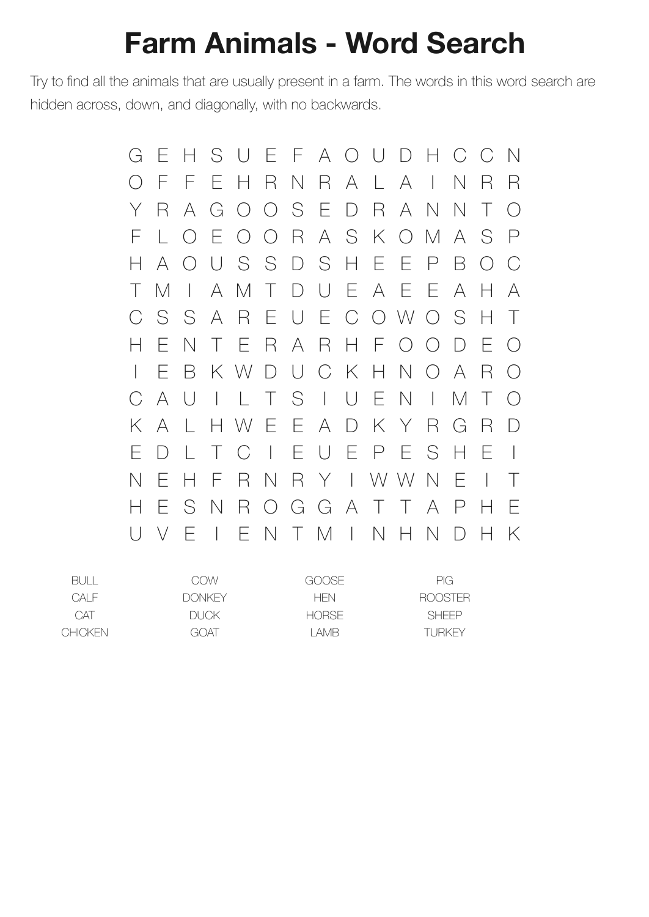## **Farm Animals - Word Search**

Try to find all the animals that are usually present in a farm. The words in this word search are hidden across, down, and diagonally, with no backwards.

G E H S U E F A O U D H C C N O F F E H R N R A L A I N R R Y R A G O O S E D R A N N T O F L O E O O R A S K O M A S P H A O U S S D S H E E P B O C T M I A M T D U E A E E A H A C S S A R E U E C O W O S H T H E N T E R A R H F O O D E O I E B K W D U C K H N O A R O C A U I L T S I U E N I M T O K A L H W E E A D K Y R G R D E D L T C I E U E P E S H E I N E H F R N R Y I W W N E I T H E S N R O G G A T T A P H E U V E I E N T M I N H N D H K

| COW           | GOOSE        | PIG.           |
|---------------|--------------|----------------|
| <b>DONKEY</b> | <b>HFN</b>   | <b>ROOSTER</b> |
| DUCK.         | <b>HORSE</b> | <b>SHEEP</b>   |
| GOAT          | I AMB.       | TURKEY         |
|               |              |                |